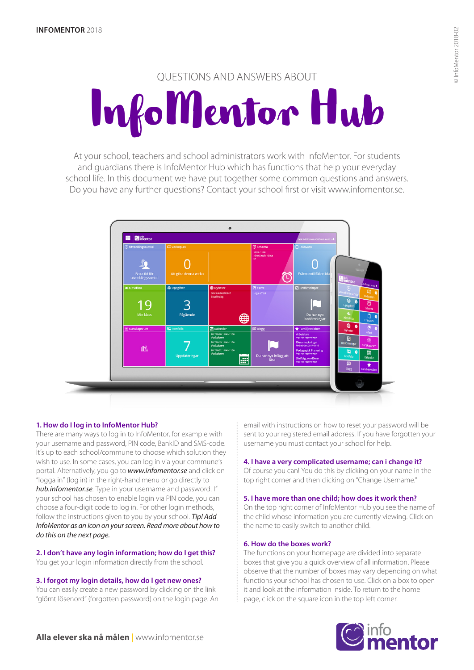# QUESTIONS AND ANSWERS ABOUT InfoMentor Hub

At your school, teachers and school administrators work with InfoMentor. For students and guardians there is InfoMentor Hub which has functions that help your everyday school life. In this document we have put together some common questions and answers. Do you have any further questions? Contact your school first or visit www.infomentor.se.



# **1. How do I log in to InfoMentor Hub?**

There are many ways to log in to InfoMentor, for example with your username and password, PIN code, BankID and SMS-code. It's up to each school/commune to choose which solution they wish to use. In some cases, you can log in via your commune's portal. Alternatively, you go to *www.infomentor.se* and click on "logga in" (log in) in the right-hand menu or go directly to *hub.infomentor.se*. Type in your username and password. If your school has chosen to enable login via PIN code, you can choose a four-digit code to log in. For other login methods, follow the instructions given to you by your school. *Tip! Add InfoMentor as an icon on your screen. Read more about how to do this on the next page.* 

#### **2. I don't have any login information; how do I get this?**  You get your login information directly from the school.

**3. I forgot my login details, how do I get new ones?** 

You can easily create a new password by clicking on the link "glömt lösenord" (forgotten password) on the login page. An email with instructions on how to reset your password will be sent to your registered email address. If you have forgotten your username you must contact your school for help.

# **4. I have a very complicated username; can i change it?**

Of course you can! You do this by clicking on your name in the top right corner and then clicking on "Change Username."

# **5. I have more than one child; how does it work then?**

On the top right corner of InfoMentor Hub you see the name of the child whose information you are currently viewing. Click on the name to easily switch to another child.

# **6. How do the boxes work?**

The functions on your homepage are divided into separate boxes that give you a quick overview of all information. Please observe that the number of boxes may vary depending on what functions your school has chosen to use. Click on a box to open it and look at the information inside. To return to the home page, click on the square icon in the top left corner.